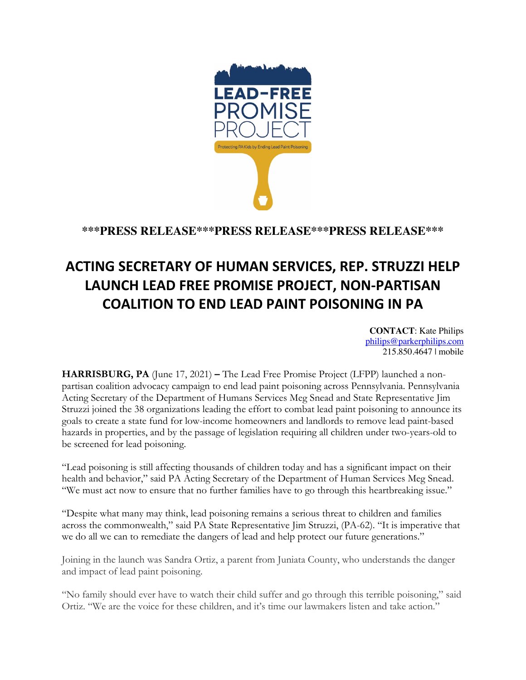

**\*\*\*PRESS RELEASE\*\*\*PRESS RELEASE\*\*\*PRESS RELEASE\*\*\***

## **ACTING SECRETARY OF HUMAN SERVICES, REP. STRUZZI HELP LAUNCH LEAD FREE PROMISE PROJECT, NON-PARTISAN COALITION TO END LEAD PAINT POISONING IN PA**

**CONTACT**: Kate Philips philips@parkerphilips.com 215.850.4647 | mobile

**HARRISBURG, PA** (June 17, 2021) **–** The Lead Free Promise Project (LFPP) launched a nonpartisan coalition advocacy campaign to end lead paint poisoning across Pennsylvania. Pennsylvania Acting Secretary of the Department of Humans Services Meg Snead and State Representative Jim Struzzi joined the 38 organizations leading the effort to combat lead paint poisoning to announce its goals to create a state fund for low-income homeowners and landlords to remove lead paint-based hazards in properties, and by the passage of legislation requiring all children under two-years-old to be screened for lead poisoning.

"Lead poisoning is still affecting thousands of children today and has a significant impact on their health and behavior," said PA Acting Secretary of the Department of Human Services Meg Snead. "We must act now to ensure that no further families have to go through this heartbreaking issue."

"Despite what many may think, lead poisoning remains a serious threat to children and families across the commonwealth," said PA State Representative Jim Struzzi, (PA-62). "It is imperative that we do all we can to remediate the dangers of lead and help protect our future generations."

Joining in the launch was Sandra Ortiz, a parent from Juniata County, who understands the danger and impact of lead paint poisoning.

"No family should ever have to watch their child suffer and go through this terrible poisoning," said Ortiz. "We are the voice for these children, and it's time our lawmakers listen and take action."